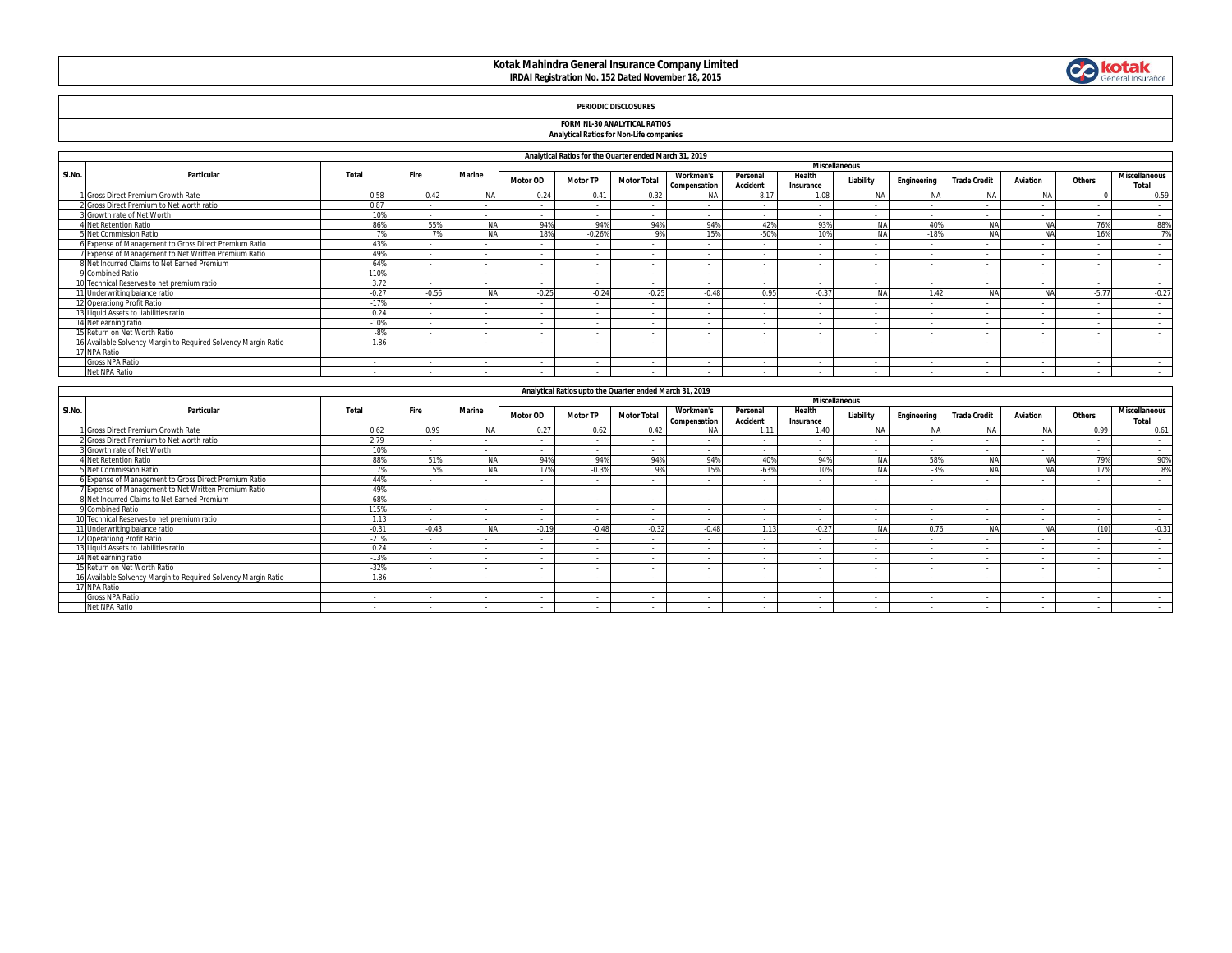# **Kotak Mahindra General Insurance Company Limited IRDAI Registration No. 152 Dated November 18, 2015**



## **PERIODIC DISCLOSURES**

#### **FORM NL-30 ANALYTICAL RATIOS**

## **Analytical Ratios for Non-Life companies**

|        |                                                                |         | Analytical Ratios for the Quarter ended March 31, 2019<br><b>Miscellaneous</b> |               |                 |                 |                    |                                  |                             |                     |            |                          |                     |                          |         |                               |
|--------|----------------------------------------------------------------|---------|--------------------------------------------------------------------------------|---------------|-----------------|-----------------|--------------------|----------------------------------|-----------------------------|---------------------|------------|--------------------------|---------------------|--------------------------|---------|-------------------------------|
|        |                                                                |         |                                                                                |               |                 |                 |                    |                                  |                             |                     |            |                          |                     |                          |         |                               |
| SI.No. | Particular                                                     | Total   | Fire                                                                           | <b>Marine</b> | <b>Motor OD</b> | <b>Motor TP</b> | <b>Motor Total</b> | <b>Workmen's</b><br>Compensation | Personal<br><b>Accident</b> | Health<br>Insurance | Liability  | Engineering              | <b>Trade Credit</b> | Aviation                 | Others  | <b>Miscellaneous</b><br>Total |
|        | Gross Direct Premium Growth Rate                               | 0.58    | 0.42                                                                           | <b>NA</b>     | 0.24            | 0.41            | 0.32               | <b>NA</b>                        | 8.17                        | 1.08                | <b>NA</b>  | <b>NA</b>                | <b>NA</b>           | <b>NA</b>                |         | 0.59                          |
|        | 2 Gross Direct Premium to Net worth ratio                      | 0.87    |                                                                                |               | . .             |                 |                    |                                  |                             |                     |            |                          | - 1                 | $\overline{\phantom{a}}$ |         | $\sim$                        |
|        | 3 Growth rate of Net Worth                                     | 10%     | $\sim$                                                                         | $\sim$        | $\sim$          | $\sim$          | $\sim$             |                                  | $\sim$                      | $\sim$              | $\sim$     | $\sim$                   | $\sim$              | $\sim$                   | $\sim$  | $\sim$                        |
|        | Net Retention Ratio                                            | 86%     | 55%                                                                            | NA            | 94%             | 94%             | 94%                | 94%                              | 42%                         | 93%                 | <b>MA</b>  | 40%                      | 114                 | <b>NA</b>                | 76%     | 88%                           |
|        | 5 Net Commission Ratio                                         | 70      |                                                                                | NA            | 18%             | $-0.26%$        | 9%                 | 15%                              | $-50%$                      | 109                 |            | $-18%$                   | N.                  | NA                       | 16%     | 7%                            |
|        | 6 Expense of Management to Gross Direct Premium Ratio          | 43%     |                                                                                | $\sim$        | $\sim$          | $\sim$          | $\sim$             |                                  | $\sim$                      |                     | $\sim$     | $\overline{\phantom{a}}$ | $\sim$              | $\overline{\phantom{a}}$ |         | $\sim$                        |
|        | Expense of Management to Net Written Premium Ratio             | 49%     |                                                                                |               | $\sim$          | $\sim$          | $\sim$             |                                  | . .                         | $\sim$              | $\sim$     | . .                      | $\sim$              | $\overline{\phantom{a}}$ | - 1     |                               |
|        | 8 Net Incurred Claims to Net Earned Premium                    | 64%     |                                                                                |               | ٠.              | $\sim$          | . .                |                                  | . .                         |                     |            |                          | $\sim$              | $\overline{\phantom{a}}$ | - 1     | $\sim$                        |
|        | 9 Combined Ratio                                               | 110%    |                                                                                |               |                 |                 |                    |                                  |                             |                     |            |                          |                     | $\overline{\phantom{a}}$ |         | $\sim$                        |
|        | 0 Technical Reserves to net premium ratio                      | 3.72    | $\sim$                                                                         | $\sim$        | $\sim$          | $\sim$          | $\sim$             |                                  | $\sim$                      | $\sim$              | $\sim$     | $\sim$                   | $\sim$              | $\sim$                   | - 1     | $\sim$                        |
|        | 1 Underwriting balance ratio                                   | $-0.27$ | $-0.56$                                                                        | N/            | $-0.25$         | $-0.24$         | $-0.25$            | $-0.48$                          | 0.95                        | $-0.37$             | <b>AIA</b> | 1.42                     |                     | <b>NA</b>                | $-5.77$ | $-0.27$                       |
|        | 12 Operationg Profit Ratio                                     | $-17%$  |                                                                                |               | . .             | $\sim$          |                    |                                  |                             |                     |            |                          |                     | $\overline{\phantom{a}}$ | - 1     |                               |
|        | 13 Liquid Assets to liabilities ratio                          | 0.24    |                                                                                |               |                 |                 |                    |                                  |                             |                     |            |                          |                     |                          |         | $\sim$                        |
|        | 4 Net earning ratio                                            | $-10%$  |                                                                                |               | . .             | $\sim$          |                    |                                  | $\sim$                      |                     |            |                          | $\sim$              | $\overline{\phantom{a}}$ | - 1     |                               |
|        | 5 Return on Net Worth Ratio                                    | $-8%$   | $\sim$                                                                         | $\sim$        | $\sim$          | $\sim$          | $\sim$             |                                  | $\sim$                      |                     | $\sim$     | $\overline{\phantom{a}}$ | $\sim$              | $\sim$                   | $\sim$  | $\sim$                        |
|        | 16 Available Solvency Margin to Reguired Solvency Margin Ratio | 1.86    |                                                                                |               |                 |                 |                    |                                  |                             |                     |            |                          |                     |                          |         |                               |
|        | 7 NPA Ratio                                                    |         |                                                                                |               |                 |                 |                    |                                  |                             |                     |            |                          |                     |                          |         |                               |
|        | <b>Gross NPA Ratio</b>                                         | $\sim$  | . .                                                                            |               | . .             |                 |                    |                                  | $\sim$                      |                     | $\sim$     |                          | - 1                 | $\overline{\phantom{a}}$ |         |                               |
|        | Net NPA Ratio                                                  | $\sim$  |                                                                                |               | . .             |                 |                    |                                  | . .                         |                     |            |                          |                     | $\overline{\phantom{a}}$ |         |                               |

|        | Analytical Ratios upto the Quarter ended March 31, 2019<br><b>Miscellaneous</b> |              |         |            |                          |                          |                    |                                  |                             |                     |            |             |                          |                          |                          |                               |
|--------|---------------------------------------------------------------------------------|--------------|---------|------------|--------------------------|--------------------------|--------------------|----------------------------------|-----------------------------|---------------------|------------|-------------|--------------------------|--------------------------|--------------------------|-------------------------------|
|        |                                                                                 |              |         |            |                          |                          |                    |                                  |                             |                     |            |             |                          |                          |                          |                               |
| SI.No. | Particular                                                                      | <b>Total</b> | Fire    | Marine     | <b>Motor OD</b>          | <b>Motor TP</b>          | <b>Motor Total</b> | <b>Workmen's</b><br>Compensation | Personal<br><b>Accident</b> | Health<br>Insurance | Liability  | Engineering | <b>Trade Credit</b>      | Aviation                 | Others                   | <b>Miscellaneous</b><br>Total |
|        | <b>Gross Direct Premium Growth Rate</b>                                         | 0.62         | 0.99    | <b>NA</b>  | 0.27                     | 0.62                     | 0.42               | <b>NA</b>                        | 1.11                        | 1.40                | <b>NA</b>  | <b>NA</b>   | <b>NA</b>                | NA                       | 0.99                     | 0.61                          |
|        | 2 Gross Direct Premium to Net worth ratio                                       | 2.79         |         |            | $\sim$                   | $\sim$                   |                    |                                  | $\sim$                      |                     |            |             | $\sim$                   | $\sim$                   | $\sim$                   | $\sim$                        |
|        | Growth rate of Net Worth                                                        | 10%          |         |            | ٠.                       | $\sim$                   |                    |                                  |                             |                     |            |             |                          | $\sim$                   |                          | $\sim$                        |
|        | 4 Net Retention Ratio                                                           | 88%          | 51%     |            | 94%                      | 94%                      | 94%                | 94%                              | 40%                         | 94%                 | NΔ         | 58%         |                          | NΑ                       | 79%                      | 90%                           |
|        | 5 Net Commission Ratio                                                          | 70/          | 5%      | <b>AIA</b> | 1701                     | $-0.3%$                  | 9%                 | 15%                              | $-63%$                      | 10%                 | <b>AIA</b> | $-3%$       |                          | <b>NA</b>                | 17%                      | 8%                            |
|        | 6 Expense of Management to Gross Direct Premium Ratio                           | 44%          |         |            | $\sim$                   | $\overline{\phantom{a}}$ |                    |                                  | - 1                         |                     |            |             | $\sim$                   | $\sim$                   | $\overline{\phantom{a}}$ | $\sim$                        |
|        | 7 Expense of Management to Net Written Premium Ratio                            | 49%          |         |            | - 1                      | $\overline{\phantom{a}}$ |                    |                                  |                             |                     |            |             |                          |                          |                          |                               |
|        | B Net Incurred Claims to Net Earned Premium                                     | 68%          |         |            | $\sim$                   | $\sim$                   |                    |                                  |                             |                     |            |             | . .                      | $\sim$                   | $\sim$                   | $\sim$                        |
|        | Combined Ratio                                                                  | 115%         | $\sim$  | $\sim$     | $\sim$                   | $\sim$                   |                    | $\overline{\phantom{a}}$         | ٠.                          |                     | $\sim$     |             | $\sim$                   | $\overline{\phantom{a}}$ | $\sim$                   | $\sim$                        |
|        | 10 Technical Reserves to net premium ratio                                      | 1.13         | $\sim$  | . .        | $\sim$                   | $\sim$                   |                    |                                  | ٠.                          |                     | $\sim$     |             | $\sim$                   | $\overline{\phantom{a}}$ | $\sim$                   | $\sim$                        |
|        | 11 Underwriting balance ratio                                                   | $-0.31$      | $-0.43$ | <b>MA</b>  | $-0.19$                  | $-0.48$                  | $-0.32$            | $-0.48$                          | 1 1 3                       | $-0.27$             |            | 0.76        |                          | NΑ                       | (10)                     | $-0.31$                       |
|        | 12 Operationg Profit Ratio                                                      | $-21%$       | $\sim$  | . .        | $\overline{\phantom{a}}$ | $\sim$                   | $\sim$             | $\overline{\phantom{a}}$         | - 1                         |                     | $\sim$     |             | $\sim$                   | $\sim$                   | $\sim$                   | $\sim$                        |
|        | 13 Liquid Assets to liabilities ratio                                           | 0.24         | $\sim$  | $\sim$     | $\sim$                   | $\sim$                   | - 1                | $\overline{\phantom{a}}$         | - 1                         |                     | $\sim$     |             | $\sim$                   | $\sim$                   |                          | $\sim$                        |
|        | 14 Net earning ratio                                                            | $-13%$       |         |            | $\overline{\phantom{a}}$ | $\sim$                   |                    |                                  |                             |                     |            |             | $\sim$                   | $\sim$                   |                          | $\sim$                        |
|        | 15 Return on Net Worth Ratio                                                    | $-32%$       |         |            | $\sim$                   | $\sim$                   |                    |                                  |                             |                     |            |             | $\overline{\phantom{a}}$ | $\sim$                   |                          |                               |
|        | 16 Available Solvency Margin to Reguired Solvency Margin Ratio                  | 1.86         |         |            | $\sim$                   | $\sim$                   |                    |                                  |                             |                     |            |             | $\sim$                   | $\sim$                   | $\sim$                   | $\sim$                        |
|        | 17 NPA Ratio                                                                    |              |         |            |                          |                          |                    |                                  |                             |                     |            |             |                          |                          |                          |                               |
|        | <b>Gross NPA Ratio</b>                                                          |              |         |            |                          |                          |                    |                                  |                             |                     |            |             |                          |                          |                          |                               |
|        | Net NPA Ratio                                                                   |              |         |            |                          |                          |                    |                                  |                             |                     |            |             |                          |                          |                          |                               |